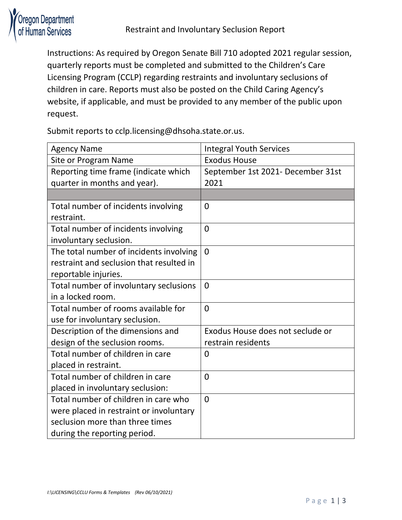

Instructions: As required by Oregon Senate Bill 710 adopted 2021 regular session, quarterly reports must be completed and submitted to the Children's Care Licensing Program (CCLP) regarding restraints and involuntary seclusions of children in care. Reports must also be posted on the Child Caring Agency's website, if applicable, and must be provided to any member of the public upon request.

Submit reports to cclp.licensing@dhsoha.state.or.us.

| <b>Agency Name</b>                       | <b>Integral Youth Services</b>    |
|------------------------------------------|-----------------------------------|
| Site or Program Name                     | <b>Exodus House</b>               |
| Reporting time frame (indicate which     | September 1st 2021- December 31st |
| quarter in months and year).             | 2021                              |
|                                          |                                   |
| Total number of incidents involving      | $\overline{0}$                    |
| restraint.                               |                                   |
| Total number of incidents involving      | $\overline{0}$                    |
| involuntary seclusion.                   |                                   |
| The total number of incidents involving  | $\Omega$                          |
| restraint and seclusion that resulted in |                                   |
| reportable injuries.                     |                                   |
| Total number of involuntary seclusions   | $\Omega$                          |
| in a locked room.                        |                                   |
| Total number of rooms available for      | $\overline{0}$                    |
| use for involuntary seclusion.           |                                   |
| Description of the dimensions and        | Exodus House does not seclude or  |
| design of the seclusion rooms.           | restrain residents                |
| Total number of children in care         | $\overline{0}$                    |
| placed in restraint.                     |                                   |
| Total number of children in care         | $\overline{0}$                    |
| placed in involuntary seclusion:         |                                   |
| Total number of children in care who     | $\overline{0}$                    |
| were placed in restraint or involuntary  |                                   |
| seclusion more than three times          |                                   |
| during the reporting period.             |                                   |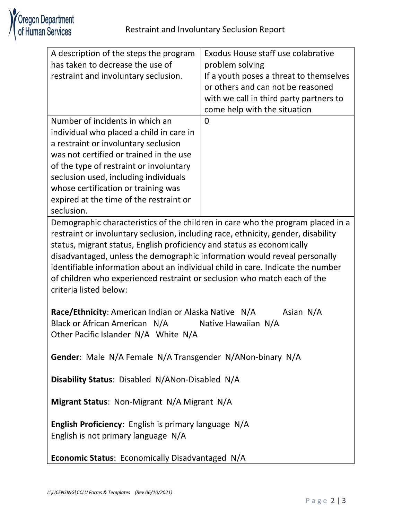| A description of the steps the program                                            | <b>Exodus House staff use colabrative</b> |  |
|-----------------------------------------------------------------------------------|-------------------------------------------|--|
| has taken to decrease the use of                                                  | problem solving                           |  |
| restraint and involuntary seclusion.                                              | If a youth poses a threat to themselves   |  |
|                                                                                   | or others and can not be reasoned         |  |
|                                                                                   | with we call in third party partners to   |  |
|                                                                                   | come help with the situation              |  |
| Number of incidents in which an                                                   | $\Omega$                                  |  |
| individual who placed a child in care in                                          |                                           |  |
| a restraint or involuntary seclusion                                              |                                           |  |
| was not certified or trained in the use                                           |                                           |  |
| of the type of restraint or involuntary                                           |                                           |  |
| seclusion used, including individuals                                             |                                           |  |
| whose certification or training was                                               |                                           |  |
| expired at the time of the restraint or                                           |                                           |  |
| seclusion.                                                                        |                                           |  |
| Demographic characteristics of the children in care who the program placed in a   |                                           |  |
| restraint or involuntary seclusion, including race, ethnicity, gender, disability |                                           |  |
| status, migrant status, English proficiency and status as economically            |                                           |  |
| disadvantaged, unless the demographic information would reveal personally         |                                           |  |
| identifiable information about an individual child in care. Indicate the number   |                                           |  |
| of children who experienced restraint or seclusion who match each of the          |                                           |  |
| criteria listed below:                                                            |                                           |  |
|                                                                                   |                                           |  |
| Race/Ethnicity: American Indian or Alaska Native N/A<br>Asian N/A                 |                                           |  |
| Black or African American N/A<br>Native Hawaiian N/A                              |                                           |  |
| Other Pacific Islander N/A White N/A                                              |                                           |  |
|                                                                                   |                                           |  |
| Gender: Male N/A Female N/A Transgender N/ANon-binary N/A                         |                                           |  |
|                                                                                   |                                           |  |
| Disability Status: Disabled N/ANon-Disabled N/A                                   |                                           |  |
|                                                                                   |                                           |  |
| Migrant Status: Non-Migrant N/A Migrant N/A                                       |                                           |  |
|                                                                                   |                                           |  |
| English Proficiency: English is primary language N/A                              |                                           |  |
| English is not primary language N/A                                               |                                           |  |
|                                                                                   |                                           |  |
| <b>Economic Status: Economically Disadvantaged N/A</b>                            |                                           |  |